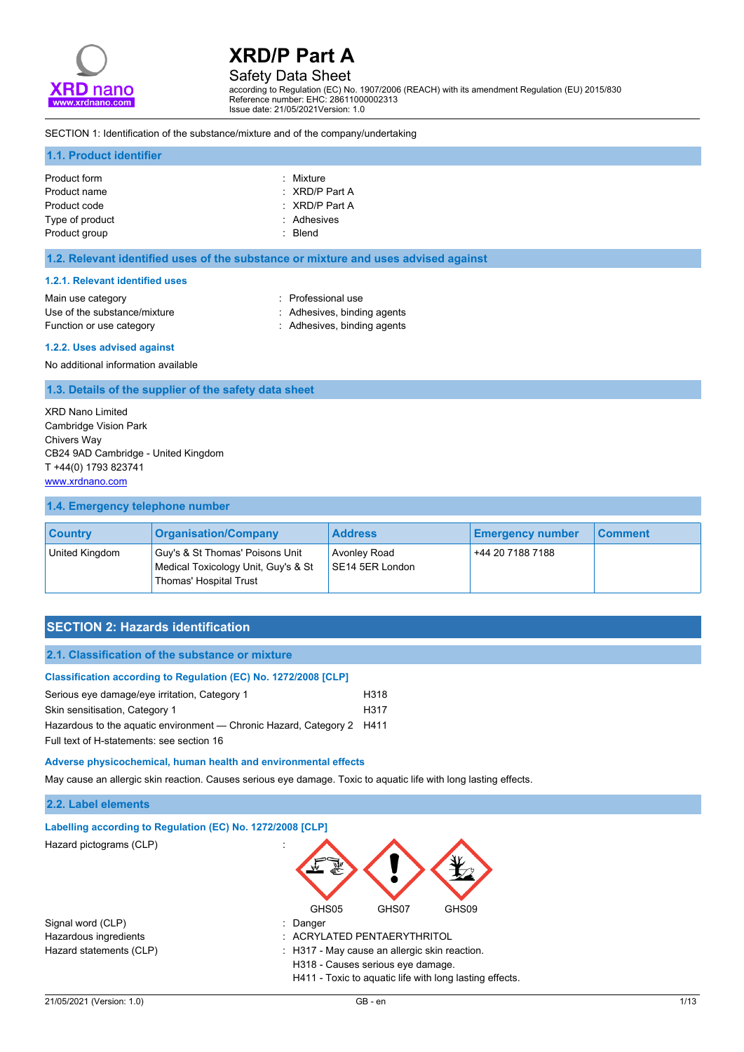

# Safety Data Sheet

according to Regulation (EC) No. 1907/2006 (REACH) with its amendment Regulation (EU) 2015/830 Reference number: EHC: 28611000002313 Issue date: 21/05/2021Version: 1.0

#### SECTION 1: Identification of the substance/mixture and of the company/undertaking

#### **1.1. Product identifier**

| Product form<br>Product name     | : Mixture<br>$\therefore$ XRD/P Part A |
|----------------------------------|----------------------------------------|
| Product code                     | $\therefore$ XRD/P Part A              |
| Type of product<br>Product group | : Adhesives<br>: Blend                 |

#### **1.2. Relevant identified uses of the substance or mixture and uses advised against**

#### **1.2.1. Relevant identified uses**

| Main use category            |  |
|------------------------------|--|
| Use of the substance/mixture |  |
| Function or use category     |  |

: Professional use : Adhesives, binding agents : Adhesives, binding agents

#### **1.2.2. Uses advised against**

No additional information available

#### **1.3. Details of the supplier of the safety data sheet**

XRD Nano Limited Cambridge Vision Park Chivers Way CB24 9AD Cambridge - United Kingdom T +44(0) 1793 823741 <www.xrdnano.com>

#### **1.4. Emergency telephone number**

| <b>Country</b> | <b>Organisation/Company</b>                                                                      | <b>Address</b>                         | <b>Emergency number</b> | <b>Comment</b> |
|----------------|--------------------------------------------------------------------------------------------------|----------------------------------------|-------------------------|----------------|
| United Kingdom | Guy's & St Thomas' Poisons Unit<br>Medical Toxicology Unit, Guy's & St<br>Thomas' Hospital Trust | <b>Avonley Road</b><br>SE14 5ER London | +44 20 7188 7188        |                |

## **SECTION 2: Hazards identification**

| <b>Classification according to Regulation (EC) No. 1272/2008 [CLP]</b> |      |
|------------------------------------------------------------------------|------|
| Serious eye damage/eye irritation, Category 1                          | H318 |
| Skin sensitisation, Category 1                                         | H317 |
| Hazardous to the aguatic environment — Chronic Hazard, Category 2 H411 |      |
| Full text of H-statements: see section 16                              |      |

**Adverse physicochemical, human health and environmental effects**

May cause an allergic skin reaction. Causes serious eye damage. Toxic to aquatic life with long lasting effects.

#### **2.2. Label elements**

| Labelling according to Regulation (EC) No. 1272/2008 [CLP] |                                                         |
|------------------------------------------------------------|---------------------------------------------------------|
| Hazard pictograms (CLP)                                    |                                                         |
|                                                            | GHS05<br>GHS07<br>GHS09                                 |
| Signal word (CLP)                                          | $\therefore$ Danger                                     |
| Hazardous ingredients                                      | : ACRYLATED PENTAERYTHRITOL                             |
| Hazard statements (CLP)                                    | : H317 - May cause an allergic skin reaction.           |
|                                                            | H318 - Causes serious eye damage.                       |
|                                                            | H411 - Toxic to aquatic life with long lasting effects. |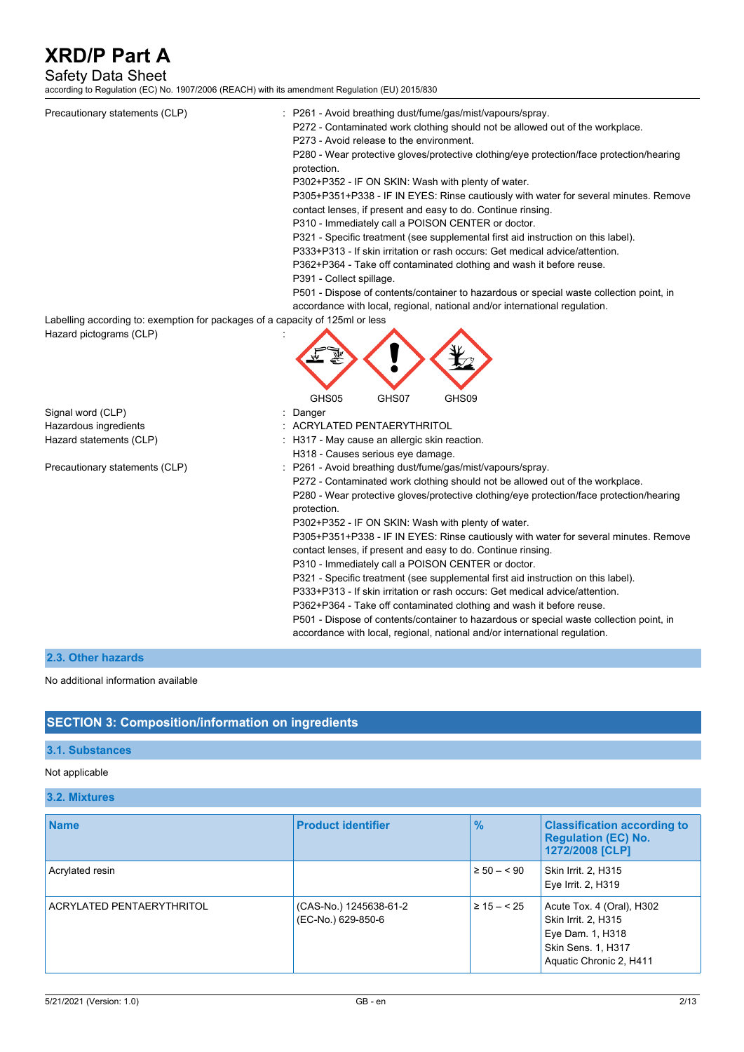## Safety Data Sheet

according to Regulation (EC) No. 1907/2006 (REACH) with its amendment Regulation (EU) 2015/830

| Precautionary statements (CLP)                                                                           | : P261 - Avoid breathing dust/fume/gas/mist/vapours/spray.<br>P272 - Contaminated work clothing should not be allowed out of the workplace.<br>P273 - Avoid release to the environment.<br>P280 - Wear protective gloves/protective clothing/eye protection/face protection/hearing<br>protection.<br>P302+P352 - IF ON SKIN: Wash with plenty of water.<br>P305+P351+P338 - IF IN EYES: Rinse cautiously with water for several minutes. Remove<br>contact lenses, if present and easy to do. Continue rinsing.<br>P310 - Immediately call a POISON CENTER or doctor.<br>P321 - Specific treatment (see supplemental first aid instruction on this label).<br>P333+P313 - If skin irritation or rash occurs: Get medical advice/attention.<br>P362+P364 - Take off contaminated clothing and wash it before reuse.<br>P391 - Collect spillage.                                                                                                  |
|----------------------------------------------------------------------------------------------------------|--------------------------------------------------------------------------------------------------------------------------------------------------------------------------------------------------------------------------------------------------------------------------------------------------------------------------------------------------------------------------------------------------------------------------------------------------------------------------------------------------------------------------------------------------------------------------------------------------------------------------------------------------------------------------------------------------------------------------------------------------------------------------------------------------------------------------------------------------------------------------------------------------------------------------------------------------|
|                                                                                                          | P501 - Dispose of contents/container to hazardous or special waste collection point, in<br>accordance with local, regional, national and/or international regulation.                                                                                                                                                                                                                                                                                                                                                                                                                                                                                                                                                                                                                                                                                                                                                                            |
| Labelling according to: exemption for packages of a capacity of 125ml or less<br>Hazard pictograms (CLP) |                                                                                                                                                                                                                                                                                                                                                                                                                                                                                                                                                                                                                                                                                                                                                                                                                                                                                                                                                  |
|                                                                                                          | GHS05<br>GHS07<br>GHS09                                                                                                                                                                                                                                                                                                                                                                                                                                                                                                                                                                                                                                                                                                                                                                                                                                                                                                                          |
| Signal word (CLP)                                                                                        | : Danger                                                                                                                                                                                                                                                                                                                                                                                                                                                                                                                                                                                                                                                                                                                                                                                                                                                                                                                                         |
| Hazardous ingredients                                                                                    | ACRYLATED PENTAERYTHRITOL                                                                                                                                                                                                                                                                                                                                                                                                                                                                                                                                                                                                                                                                                                                                                                                                                                                                                                                        |
| Hazard statements (CLP)                                                                                  | : H317 - May cause an allergic skin reaction.                                                                                                                                                                                                                                                                                                                                                                                                                                                                                                                                                                                                                                                                                                                                                                                                                                                                                                    |
|                                                                                                          | H318 - Causes serious eye damage.                                                                                                                                                                                                                                                                                                                                                                                                                                                                                                                                                                                                                                                                                                                                                                                                                                                                                                                |
| Precautionary statements (CLP)                                                                           | : P261 - Avoid breathing dust/fume/gas/mist/vapours/spray.<br>P272 - Contaminated work clothing should not be allowed out of the workplace.<br>P280 - Wear protective gloves/protective clothing/eye protection/face protection/hearing<br>protection.<br>P302+P352 - IF ON SKIN: Wash with plenty of water.<br>P305+P351+P338 - IF IN EYES: Rinse cautiously with water for several minutes. Remove<br>contact lenses, if present and easy to do. Continue rinsing.<br>P310 - Immediately call a POISON CENTER or doctor.<br>P321 - Specific treatment (see supplemental first aid instruction on this label).<br>P333+P313 - If skin irritation or rash occurs: Get medical advice/attention.<br>P362+P364 - Take off contaminated clothing and wash it before reuse.<br>P501 - Dispose of contents/container to hazardous or special waste collection point, in<br>accordance with local, regional, national and/or international regulation. |

### **2.3. Other hazards**

#### No additional information available

### **SECTION 3: Composition/information on ingredients**

### **3.1. Substances**

## Not applicable

**3.2. Mixtures**

| <b>Name</b>               | <b>Product identifier</b>                    | $\frac{9}{6}$  | <b>Classification according to</b><br><b>Regulation (EC) No.</b><br>1272/2008 [CLP]                                   |
|---------------------------|----------------------------------------------|----------------|-----------------------------------------------------------------------------------------------------------------------|
| Acrylated resin           |                                              | $\geq 50 - 50$ | Skin Irrit. 2, H315<br>Eye Irrit. 2, H319                                                                             |
| ACRYLATED PENTAERYTHRITOL | (CAS-No.) 1245638-61-2<br>(EC-No.) 629-850-6 | $\geq 15 - 25$ | Acute Tox. 4 (Oral), H302<br>Skin Irrit. 2, H315<br>Eye Dam. 1, H318<br>Skin Sens. 1, H317<br>Aquatic Chronic 2, H411 |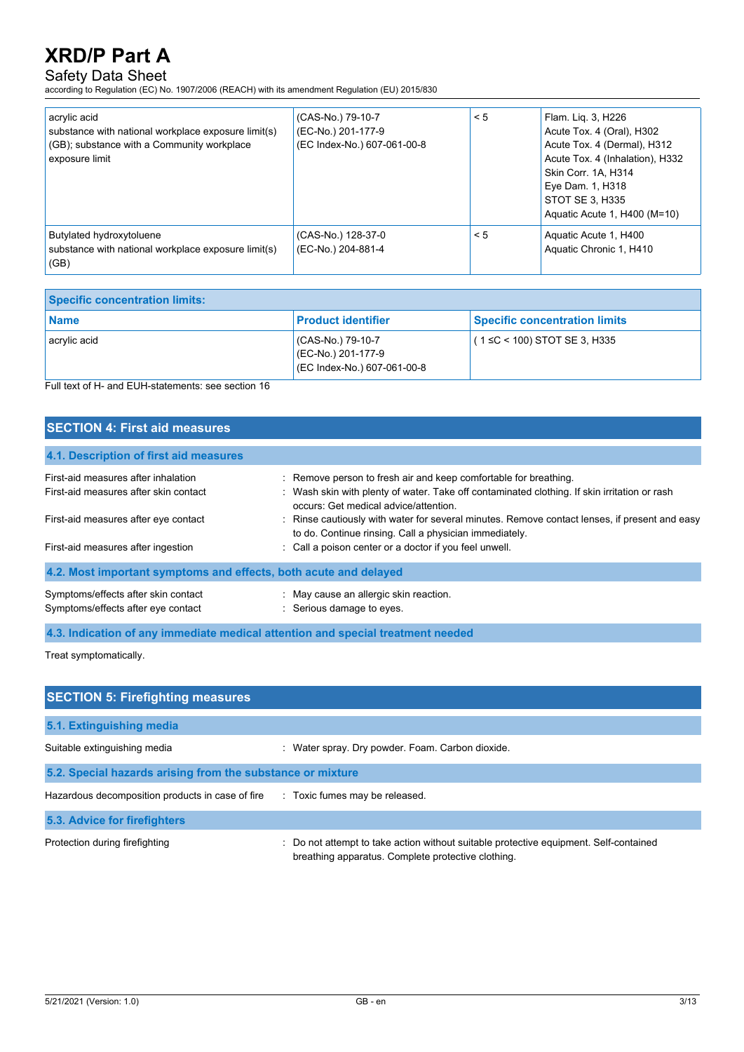## Safety Data Sheet

according to Regulation (EC) No. 1907/2006 (REACH) with its amendment Regulation (EU) 2015/830

| acrylic acid<br>substance with national workplace exposure limit(s)<br>(GB); substance with a Community workplace<br>exposure limit | (CAS-No.) 79-10-7<br>(EC-No.) 201-177-9<br>(EC Index-No.) 607-061-00-8 | < 5 | Flam. Lig. 3, H226<br>Acute Tox. 4 (Oral), H302<br>Acute Tox. 4 (Dermal), H312<br>Acute Tox. 4 (Inhalation), H332<br>Skin Corr. 1A, H314<br>Eye Dam. 1, H318<br>STOT SE 3. H335<br>Aquatic Acute 1, H400 (M=10) |
|-------------------------------------------------------------------------------------------------------------------------------------|------------------------------------------------------------------------|-----|-----------------------------------------------------------------------------------------------------------------------------------------------------------------------------------------------------------------|
| Butylated hydroxytoluene<br>substance with national workplace exposure limit(s)<br>(GB)                                             | (CAS-No.) 128-37-0<br>(EC-No.) 204-881-4                               | < 5 | Aquatic Acute 1, H400<br>Aquatic Chronic 1, H410                                                                                                                                                                |

| <b>Specific concentration limits:</b> |                                                                        |                                      |
|---------------------------------------|------------------------------------------------------------------------|--------------------------------------|
| l Name                                | <b>Product identifier</b>                                              | <b>Specific concentration limits</b> |
| acrylic acid                          | (CAS-No.) 79-10-7<br>(EC-No.) 201-177-9<br>(EC Index-No.) 607-061-00-8 | $(1 ≤ C < 100)$ STOT SE 3, H335      |

Full text of H- and EUH-statements: see section 16

| <b>SECTION 4: First aid measures</b>                                         |                                                                                                                                                                                                                   |  |  |
|------------------------------------------------------------------------------|-------------------------------------------------------------------------------------------------------------------------------------------------------------------------------------------------------------------|--|--|
| 4.1. Description of first aid measures                                       |                                                                                                                                                                                                                   |  |  |
| First-aid measures after inhalation<br>First-aid measures after skin contact | : Remove person to fresh air and keep comfortable for breathing.<br>: Wash skin with plenty of water. Take off contaminated clothing. If skin irritation or rash<br>occurs: Get medical advice/attention.         |  |  |
| First-aid measures after eye contact<br>First-aid measures after ingestion   | : Rinse cautiously with water for several minutes. Remove contact lenses, if present and easy<br>to do. Continue rinsing. Call a physician immediately.<br>: Call a poison center or a doctor if you feel unwell. |  |  |
| 4.2. Most important symptoms and effects, both acute and delayed             |                                                                                                                                                                                                                   |  |  |
| Symptoms/effects after skin contact<br>Symptoms/effects after eye contact    | : May cause an allergic skin reaction.<br>: Serious damage to eyes.                                                                                                                                               |  |  |

**4.3. Indication of any immediate medical attention and special treatment needed**

Treat symptomatically.

| <b>SECTION 5: Firefighting measures</b>                    |                                                                                                                                           |
|------------------------------------------------------------|-------------------------------------------------------------------------------------------------------------------------------------------|
| 5.1. Extinguishing media                                   |                                                                                                                                           |
| Suitable extinguishing media                               | : Water spray. Dry powder. Foam. Carbon dioxide.                                                                                          |
| 5.2. Special hazards arising from the substance or mixture |                                                                                                                                           |
| Hazardous decomposition products in case of fire           | : Toxic fumes may be released.                                                                                                            |
| 5.3. Advice for firefighters                               |                                                                                                                                           |
| Protection during firefighting                             | Do not attempt to take action without suitable protective equipment. Self-contained<br>breathing apparatus. Complete protective clothing. |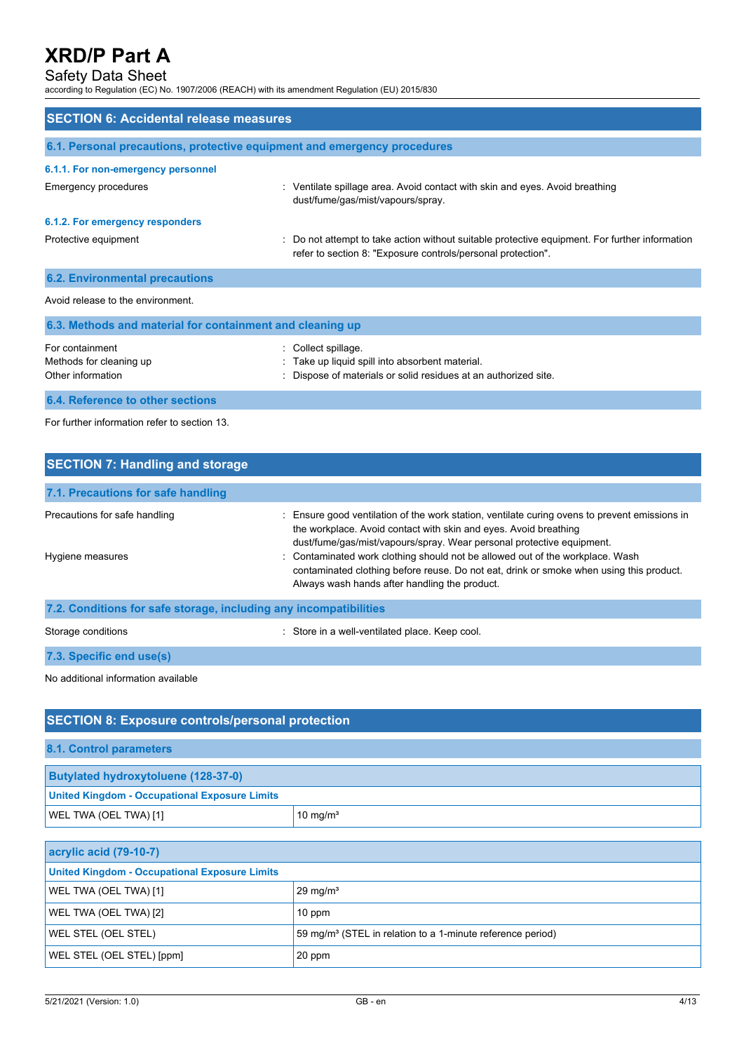### Safety Data Sheet

according to Regulation (EC) No. 1907/2006 (REACH) with its amendment Regulation (EU) 2015/830

| <b>SECTION 6: Accidental release measures</b>                            |                                                                                                                                                              |  |  |  |
|--------------------------------------------------------------------------|--------------------------------------------------------------------------------------------------------------------------------------------------------------|--|--|--|
| 6.1. Personal precautions, protective equipment and emergency procedures |                                                                                                                                                              |  |  |  |
| 6.1.1. For non-emergency personnel                                       |                                                                                                                                                              |  |  |  |
| Emergency procedures                                                     | : Ventilate spillage area. Avoid contact with skin and eyes. Avoid breathing<br>dust/fume/gas/mist/vapours/spray.                                            |  |  |  |
| 6.1.2. For emergency responders                                          |                                                                                                                                                              |  |  |  |
| Protective equipment                                                     | Do not attempt to take action without suitable protective equipment. For further information<br>refer to section 8: "Exposure controls/personal protection". |  |  |  |
| <b>6.2. Environmental precautions</b>                                    |                                                                                                                                                              |  |  |  |
| Avoid release to the environment.                                        |                                                                                                                                                              |  |  |  |
| 6.3. Methods and material for containment and cleaning up                |                                                                                                                                                              |  |  |  |
| For containment<br>Methods for cleaning up<br>Other information          | Collect spillage.<br>Take up liquid spill into absorbent material.<br>Dispose of materials or solid residues at an authorized site.                          |  |  |  |
| 6.4. Reference to other sections                                         |                                                                                                                                                              |  |  |  |

For further information refer to section 13.

| <b>SECTION 7: Handling and storage</b>                            |                                                                                                                                                                                                                                            |
|-------------------------------------------------------------------|--------------------------------------------------------------------------------------------------------------------------------------------------------------------------------------------------------------------------------------------|
| 7.1. Precautions for safe handling                                |                                                                                                                                                                                                                                            |
| Precautions for safe handling                                     | : Ensure good ventilation of the work station, ventilate curing ovens to prevent emissions in<br>the workplace. Avoid contact with skin and eyes. Avoid breathing<br>dust/fume/gas/mist/vapours/spray. Wear personal protective equipment. |
| Hygiene measures                                                  | : Contaminated work clothing should not be allowed out of the workplace. Wash<br>contaminated clothing before reuse. Do not eat, drink or smoke when using this product.<br>Always wash hands after handling the product.                  |
| 7.2. Conditions for safe storage, including any incompatibilities |                                                                                                                                                                                                                                            |
| Storage conditions                                                | : Store in a well-ventilated place. Keep cool.                                                                                                                                                                                             |

**7.3. Specific end use(s)**

No additional information available

## **SECTION 8: Exposure controls/personal protection**

| 8.1. Control parameters                              |             |  |
|------------------------------------------------------|-------------|--|
| <b>Butylated hydroxytoluene (128-37-0)</b>           |             |  |
| <b>United Kingdom - Occupational Exposure Limits</b> |             |  |
| WEL TWA (OEL TWA) [1]                                | 10 mg/ $m3$ |  |

| acrylic acid (79-10-7)                               |                                                                        |  |
|------------------------------------------------------|------------------------------------------------------------------------|--|
| <b>United Kingdom - Occupational Exposure Limits</b> |                                                                        |  |
| WEL TWA (OEL TWA) [1]                                | $29 \text{ mg/m}^3$                                                    |  |
| WEL TWA (OEL TWA) [2]                                | 10 ppm                                                                 |  |
| WEL STEL (OEL STEL)                                  | 59 mg/m <sup>3</sup> (STEL in relation to a 1-minute reference period) |  |
| WEL STEL (OEL STEL) [ppm]                            | $20$ ppm                                                               |  |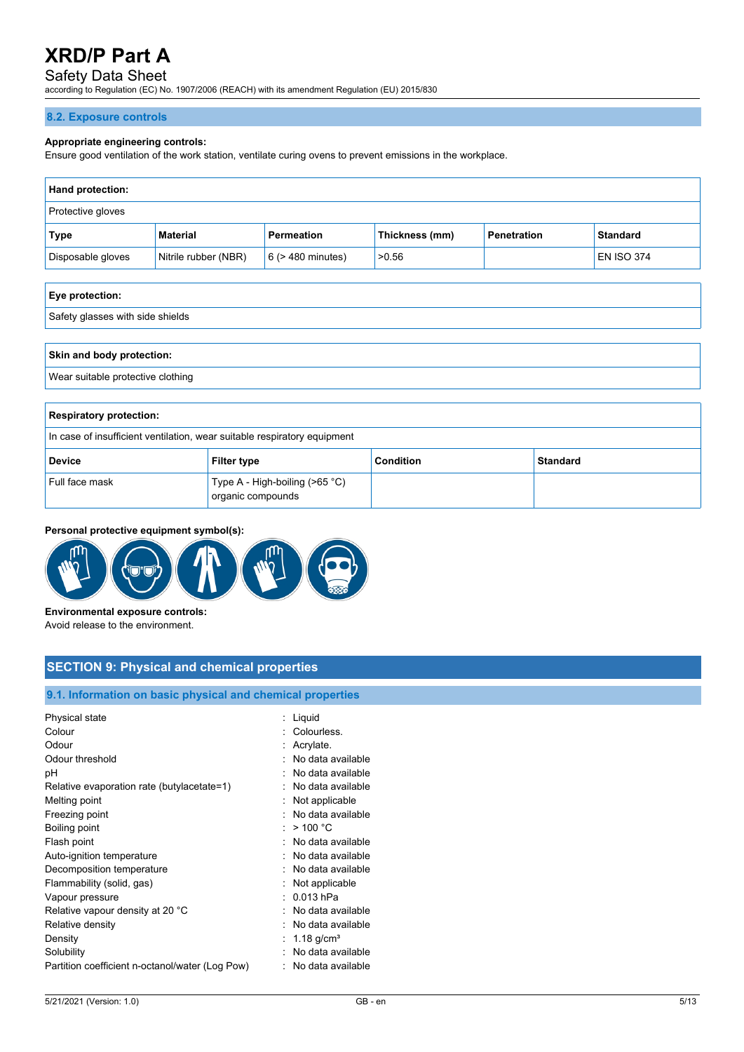## Safety Data Sheet

according to Regulation (EC) No. 1907/2006 (REACH) with its amendment Regulation (EU) 2015/830

### **8.2. Exposure controls**

#### **Appropriate engineering controls:**

Ensure good ventilation of the work station, ventilate curing ovens to prevent emissions in the workplace.

| <b>Hand protection:</b> |                      |                        |                |             |                   |
|-------------------------|----------------------|------------------------|----------------|-------------|-------------------|
| Protective gloves       |                      |                        |                |             |                   |
| Type                    | Material             | Permeation             | Thickness (mm) | Penetration | <b>Standard</b>   |
| Disposable gloves       | Nitrile rubber (NBR) | $6$ ( $>$ 480 minutes) | >0.56          |             | <b>EN ISO 374</b> |

| Eye protection:                  |  |
|----------------------------------|--|
| Safety glasses with side shields |  |
|                                  |  |
| Skin and body protection:        |  |

Wear suitable protective clothing

| <b>Respiratory protection:</b>                                           |                                                     |           |          |
|--------------------------------------------------------------------------|-----------------------------------------------------|-----------|----------|
| In case of insufficient ventilation, wear suitable respiratory equipment |                                                     |           |          |
| <b>Device</b>                                                            | <b>Filter type</b>                                  | Condition | Standard |
| Full face mask                                                           | Type A - High-boiling (>65 °C)<br>organic compounds |           |          |

### **Personal protective equipment symbol(s):**



Avoid release to the environment.

## **SECTION 9: Physical and chemical properties**

### **9.1. Information on basic physical and chemical properties**

| Physical state                                  | Liquid                   |
|-------------------------------------------------|--------------------------|
| Colour                                          | Colourless.              |
| Odour                                           |                          |
|                                                 | Acrylate.                |
| Odour threshold                                 | No data available        |
| рH                                              | No data available        |
| Relative evaporation rate (butylacetate=1)      | No data available        |
| Melting point                                   | Not applicable           |
| Freezing point                                  | No data available        |
| Boiling point                                   | $>$ 100 °C               |
| Flash point                                     | No data available        |
| Auto-ignition temperature                       | No data available        |
| Decomposition temperature                       | No data available        |
| Flammability (solid, gas)                       | Not applicable           |
| Vapour pressure                                 | $0.013$ hPa              |
| Relative vapour density at 20 °C                | No data available        |
| Relative density                                | No data available        |
| Density                                         | $1.18$ g/cm <sup>3</sup> |
| Solubility                                      | No data available        |
| Partition coefficient n-octanol/water (Log Pow) | No data available        |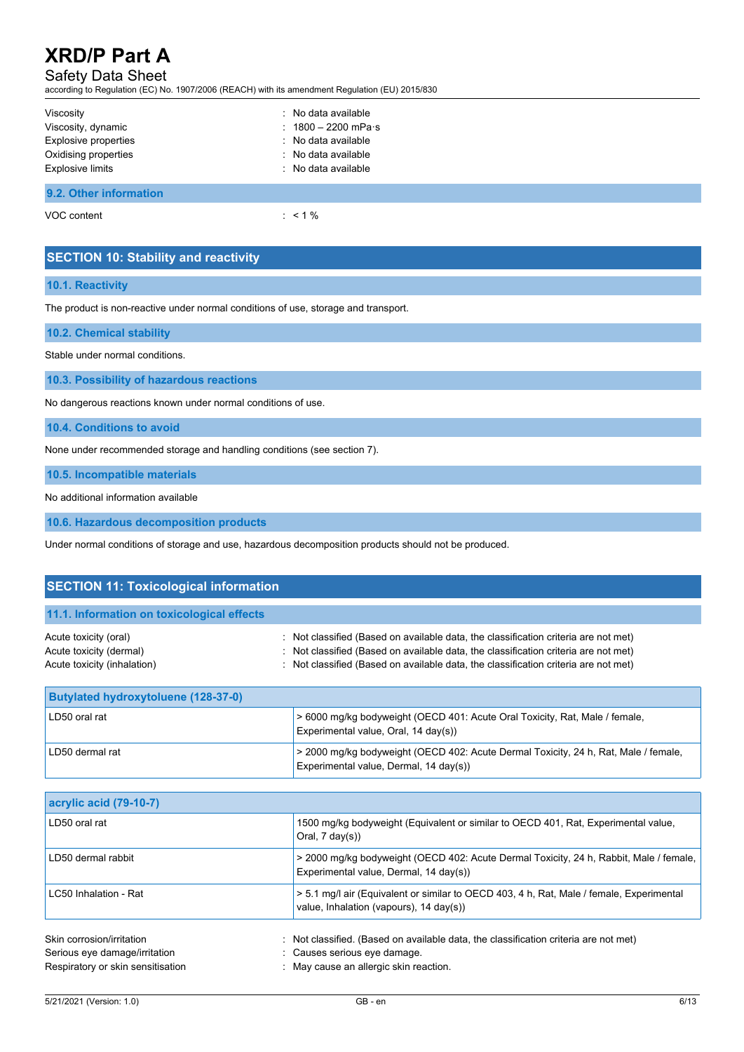## Safety Data Sheet

according to Regulation (EC) No. 1907/2006 (REACH) with its amendment Regulation (EU) 2015/830

| Viscosity              | : No data available           |
|------------------------|-------------------------------|
| Viscosity, dynamic     | : $1800 - 2200$ mPa $\cdot$ s |
| Explosive properties   | : No data available           |
| Oxidising properties   | : No data available           |
| Explosive limits       | : No data available           |
|                        |                               |
| 9.2. Other information |                               |

VOC content : < 1 %

# **SECTION 10: Stability and reactivity**

#### **10.1. Reactivity**

The product is non-reactive under normal conditions of use, storage and transport.

**10.2. Chemical stability**

Stable under normal conditions.

**10.3. Possibility of hazardous reactions**

No dangerous reactions known under normal conditions of use.

**10.4. Conditions to avoid**

None under recommended storage and handling conditions (see section 7).

**10.5. Incompatible materials**

No additional information available

**10.6. Hazardous decomposition products**

Under normal conditions of storage and use, hazardous decomposition products should not be produced.

| <b>SECTION 11: Toxicological information</b>                                    |                                                                                                                                                                                                                                                             |
|---------------------------------------------------------------------------------|-------------------------------------------------------------------------------------------------------------------------------------------------------------------------------------------------------------------------------------------------------------|
| 11.1. Information on toxicological effects                                      |                                                                                                                                                                                                                                                             |
| Acute toxicity (oral)<br>Acute toxicity (dermal)<br>Acute toxicity (inhalation) | Not classified (Based on available data, the classification criteria are not met)<br>Not classified (Based on available data, the classification criteria are not met)<br>Not classified (Based on available data, the classification criteria are not met) |
| <b>Butylated hydroxytoluene (128-37-0)</b>                                      |                                                                                                                                                                                                                                                             |
| LD50 oral rat                                                                   | > 6000 mg/kg bodyweight (OECD 401: Acute Oral Toxicity, Rat, Male / female,<br>Experimental value, Oral, 14 day(s))                                                                                                                                         |
| LD50 dermal rat                                                                 | > 2000 mg/kg bodyweight (OECD 402: Acute Dermal Toxicity, 24 h, Rat, Male / female,<br>Experimental value, Dermal, 14 day(s))                                                                                                                               |
|                                                                                 |                                                                                                                                                                                                                                                             |
| acrylic acid (79-10-7)                                                          |                                                                                                                                                                                                                                                             |
| LD50 oral rat                                                                   | 1500 mg/kg bodyweight (Equivalent or similar to OECD 401, Rat, Experimental value,<br>Oral, $7 \text{ day}(s)$ )                                                                                                                                            |
| LD50 dermal rabbit                                                              | > 2000 mg/kg bodyweight (OECD 402: Acute Dermal Toxicity, 24 h, Rabbit, Male / female,<br>Experimental value, Dermal, 14 day(s))                                                                                                                            |
| LC50 Inhalation - Rat                                                           | > 5.1 mg/l air (Equivalent or similar to OECD 403, 4 h, Rat, Male / female, Experimental<br>value, Inhalation (vapours), 14 day(s))                                                                                                                         |
| Skin corrosion/irritation                                                       | Not classified. (Based on available data, the classification criteria are not met)                                                                                                                                                                          |
| Serious eye damage/irritation                                                   | Causes serious eye damage.                                                                                                                                                                                                                                  |
| Respiratory or skin sensitisation                                               | May cause an allergic skin reaction.                                                                                                                                                                                                                        |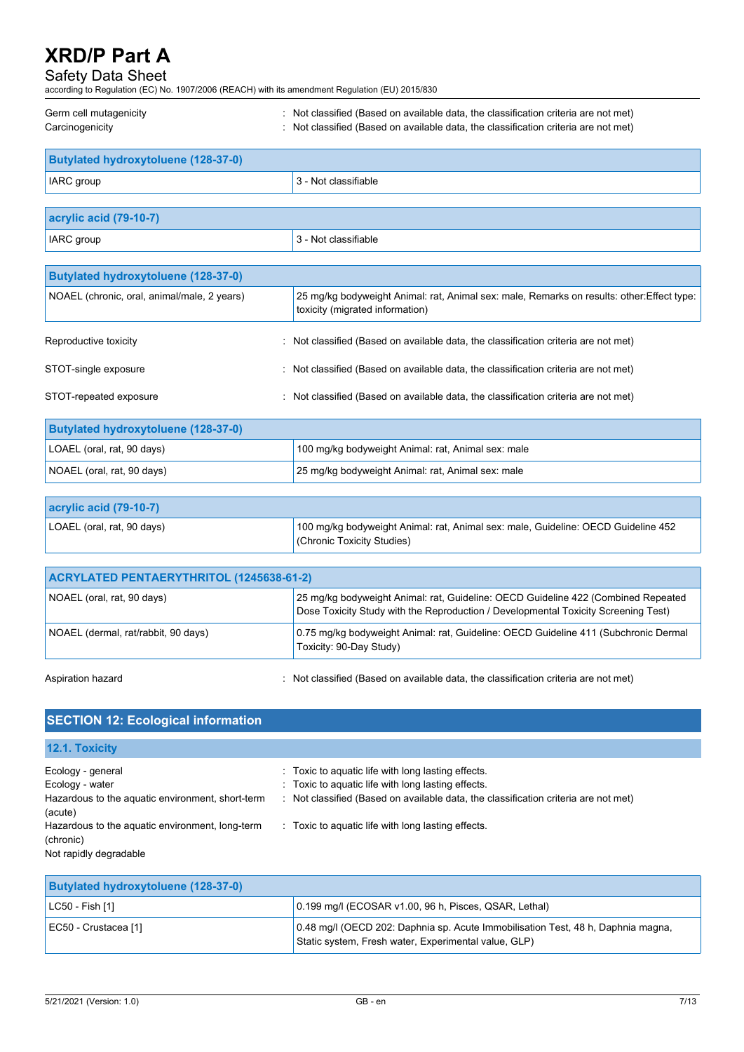## Safety Data Sheet

according to Regulation (EC) No. 1907/2006 (REACH) with its amendment Regulation (EU) 2015/830

| Germ cell mutagenicity | Not classified (Based on available data, the classification criteria are not met) |
|------------------------|-----------------------------------------------------------------------------------|
| Carcinogenicity        | Not classified (Based on available data, the classification criteria are not met) |

| Butylated hydroxytoluene (128-37-0) |                                 |  |
|-------------------------------------|---------------------------------|--|
| <b>IARC</b> group                   | $ 3 - \text{Not classifiable} $ |  |
|                                     |                                 |  |

| acrylic acid (79-10-7)                      |                                                                                            |
|---------------------------------------------|--------------------------------------------------------------------------------------------|
| <b>IARC</b> group                           | 3 - Not classifiable                                                                       |
|                                             |                                                                                            |
| <b>Butylated hydroxytoluene (128-37-0)</b>  |                                                                                            |
| NOAEL (chronic, oral, animal/male, 2 years) | 25 mg/kg bodyweight Animal: rat, Animal sex: male, Remarks on results: other: Effect type: |

|                        | toxicity (migrated information)                                                     | . . |
|------------------------|-------------------------------------------------------------------------------------|-----|
| Reproductive toxicity  | : Not classified (Based on available data, the classification criteria are not met) |     |
| STOT-single exposure   | : Not classified (Based on available data, the classification criteria are not met) |     |
| STOT-repeated exposure | : Not classified (Based on available data, the classification criteria are not met) |     |
|                        |                                                                                     |     |

| <b>Butylated hydroxytoluene (128-37-0)</b> |                                                    |
|--------------------------------------------|----------------------------------------------------|
| LOAEL (oral, rat, 90 days)                 | 100 mg/kg bodyweight Animal: rat, Animal sex: male |
| NOAEL (oral, rat, 90 days)                 | 25 mg/kg bodyweight Animal: rat, Animal sex: male  |

| $ $ acrylic acid (79-10-7) |                                                                                   |
|----------------------------|-----------------------------------------------------------------------------------|
| LOAEL (oral, rat, 90 days) | 100 mg/kg bodyweight Animal: rat, Animal sex: male, Guideline: OECD Guideline 452 |
|                            | (Chronic Toxicity Studies)                                                        |

| ACRYLATED PENTAERYTHRITOL (1245638-61-2) |                                                                                                                                                                                                                                   |
|------------------------------------------|-----------------------------------------------------------------------------------------------------------------------------------------------------------------------------------------------------------------------------------|
| NOAEL (oral, rat, 90 days)               | 25 mg/kg bodyweight Animal: rat, Guideline: OECD Guideline 422 (Combined Repeated<br>Dose Toxicity Study with the Reproduction / Developmental Toxicity Screening Test)                                                           |
| NOAEL (dermal, rat/rabbit, 90 days)      | 0.75 mg/kg bodyweight Animal: rat, Guideline: OECD Guideline 411 (Subchronic Dermal<br>Toxicity: 90-Day Study)                                                                                                                    |
|                                          | $\mathbf{a}$ , and a second contract the contract of the contract of the contract of the contract of the contract of the contract of the contract of the contract of the contract of the contract of the contract of the contract |

Aspiration hazard **in the classified (Based on available data, the classification criteria are not met)**  $\cdot$  Not classified (Based on available data, the classification criteria are not met)

| <b>SECTION 12: Ecological information</b>                                                           |                                                                                                                                                                                                 |
|-----------------------------------------------------------------------------------------------------|-------------------------------------------------------------------------------------------------------------------------------------------------------------------------------------------------|
| <b>12.1. Toxicity</b>                                                                               |                                                                                                                                                                                                 |
| Ecology - general<br>Ecology - water<br>Hazardous to the aquatic environment, short-term<br>(acute) | : Toxic to aquatic life with long lasting effects.<br>: Toxic to aquatic life with long lasting effects.<br>: Not classified (Based on available data, the classification criteria are not met) |
| Hazardous to the aquatic environment, long-term<br>(chronic)<br>Not rapidly degradable              | : Toxic to aquatic life with long lasting effects.                                                                                                                                              |

| <b>Butylated hydroxytoluene (128-37-0)</b> |                                                                                                                                          |
|--------------------------------------------|------------------------------------------------------------------------------------------------------------------------------------------|
| $ $ LC50 - Fish [1]                        | 0.199 mg/l (ECOSAR v1.00, 96 h, Pisces, QSAR, Lethal)                                                                                    |
| EC50 - Crustacea [1]                       | 0.48 mg/l (OECD 202: Daphnia sp. Acute Immobilisation Test, 48 h, Daphnia magna,<br>Static system, Fresh water, Experimental value, GLP) |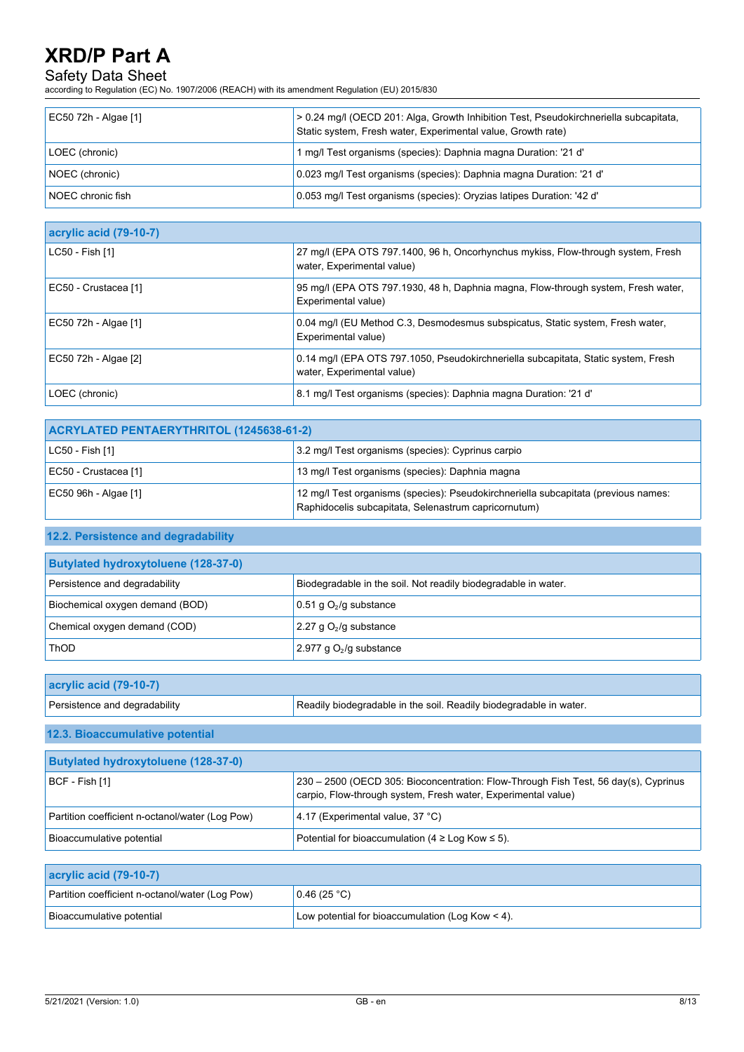## Safety Data Sheet

according to Regulation (EC) No. 1907/2006 (REACH) with its amendment Regulation (EU) 2015/830

| EC50 72h - Algae [1] | > 0.24 mg/l (OECD 201: Alga, Growth Inhibition Test, Pseudokirchneriella subcapitata,<br>Static system, Fresh water, Experimental value, Growth rate) |
|----------------------|-------------------------------------------------------------------------------------------------------------------------------------------------------|
| LOEC (chronic)       | 1 mg/l Test organisms (species): Daphnia magna Duration: '21 d'                                                                                       |
| NOEC (chronic)       | 0.023 mg/l Test organisms (species): Daphnia magna Duration: '21 d'                                                                                   |
| NOEC chronic fish    | 0.053 mg/l Test organisms (species): Oryzias latipes Duration: '42 d'                                                                                 |

| acrylic acid (79-10-7) |                                                                                                                  |
|------------------------|------------------------------------------------------------------------------------------------------------------|
| LC50 - Fish [1]        | 27 mg/l (EPA OTS 797.1400, 96 h, Oncorhynchus mykiss, Flow-through system, Fresh<br>water, Experimental value)   |
| EC50 - Crustacea [1]   | 95 mg/l (EPA OTS 797.1930, 48 h, Daphnia magna, Flow-through system, Fresh water,<br>Experimental value)         |
| EC50 72h - Algae [1]   | 0.04 mg/l (EU Method C.3, Desmodesmus subspicatus, Static system, Fresh water,<br>Experimental value)            |
| EC50 72h - Algae [2]   | 0.14 mg/l (EPA OTS 797.1050, Pseudokirchneriella subcapitata, Static system, Fresh<br>water, Experimental value) |
| LOEC (chronic)         | 8.1 mg/l Test organisms (species): Daphnia magna Duration: '21 d'                                                |

| ACRYLATED PENTAERYTHRITOL (1245638-61-2) |                                                                                                                                            |
|------------------------------------------|--------------------------------------------------------------------------------------------------------------------------------------------|
| $ $ LC50 - Fish [1]                      | 3.2 mg/l Test organisms (species): Cyprinus carpio                                                                                         |
| EC50 - Crustacea [1]                     | 13 mg/l Test organisms (species): Daphnia magna                                                                                            |
| EC50 96h - Algae [1]                     | 12 mg/l Test organisms (species): Pseudokirchneriella subcapitata (previous names:<br>Raphidocelis subcapitata, Selenastrum capricornutum) |

## **12.2. Persistence and degradability**

| <b>Butylated hydroxytoluene (128-37-0)</b> |                                                                |
|--------------------------------------------|----------------------------------------------------------------|
| Persistence and degradability              | Biodegradable in the soil. Not readily biodegradable in water. |
| Biochemical oxygen demand (BOD)            | 0.51 g $O_2$ /g substance                                      |
| Chemical oxygen demand (COD)               | 2.27 g $O_2$ /g substance                                      |
| <b>ThOD</b>                                | 2.977 g $O_2$ /g substance                                     |

| acrylic acid (79-10-7)        |                                                                    |
|-------------------------------|--------------------------------------------------------------------|
| Persistence and degradability | Readily biodegradable in the soil. Readily biodegradable in water. |

### **12.3. Bioaccumulative potential**

| <b>Butylated hydroxytoluene (128-37-0)</b>      |                                                                                                                                                      |  |
|-------------------------------------------------|------------------------------------------------------------------------------------------------------------------------------------------------------|--|
| $ BCF - Fish [1]$                               | 230 – 2500 (OECD 305: Bioconcentration: Flow-Through Fish Test, 56 day(s), Cyprinus<br>carpio, Flow-through system, Fresh water, Experimental value) |  |
| Partition coefficient n-octanol/water (Log Pow) | 4.17 (Experimental value, 37 °C)                                                                                                                     |  |
| Bioaccumulative potential                       | Potential for bioaccumulation ( $4 \geq$ Log Kow $\leq$ 5).                                                                                          |  |

# **acrylic acid (79-10-7)**

| Partition coefficient n-octanol/water (Log Pow) | 0.46(25 °C)                                        |
|-------------------------------------------------|----------------------------------------------------|
| Bioaccumulative potential                       | Low potential for bioaccumulation (Log Kow $<$ 4). |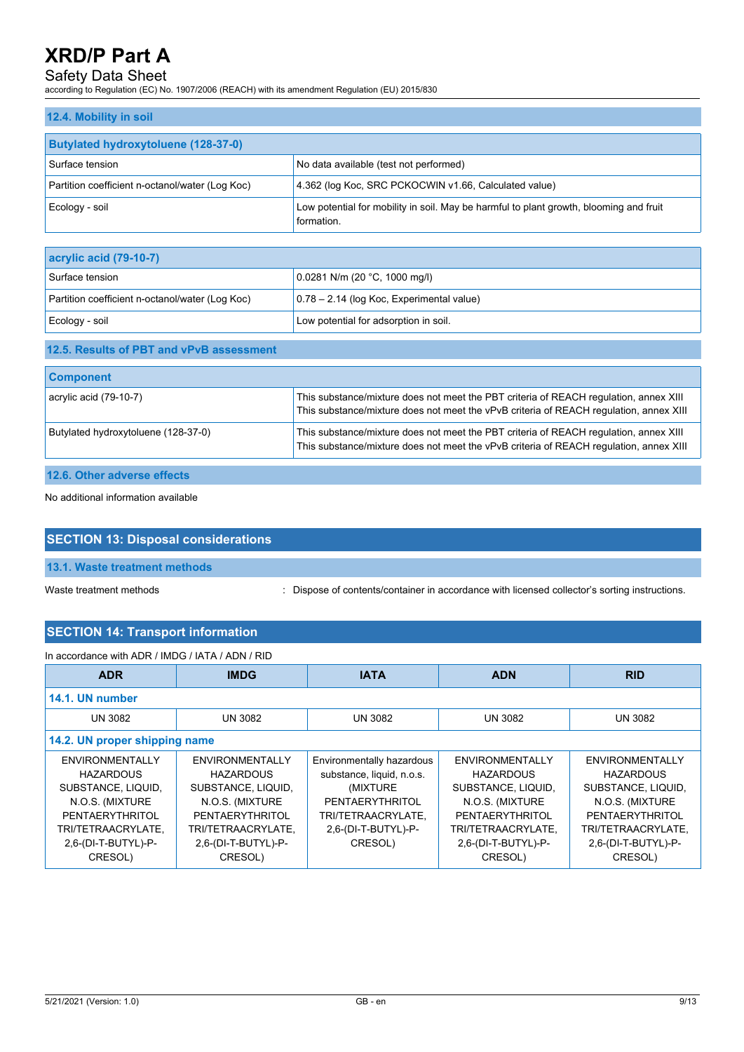## Safety Data Sheet

according to Regulation (EC) No. 1907/2006 (REACH) with its amendment Regulation (EU) 2015/830

| 12.4. Mobility in soil                          |                                                                                                      |
|-------------------------------------------------|------------------------------------------------------------------------------------------------------|
| <b>Butylated hydroxytoluene (128-37-0)</b>      |                                                                                                      |
| Surface tension                                 | No data available (test not performed)                                                               |
| Partition coefficient n-octanol/water (Log Koc) | 4.362 (log Koc, SRC PCKOCWIN v1.66, Calculated value)                                                |
| Ecology - soil                                  | Low potential for mobility in soil. May be harmful to plant growth, blooming and fruit<br>formation. |

| $ ac$ rylic acid (79-10-7)                      |                                             |  |
|-------------------------------------------------|---------------------------------------------|--|
| Surface tension                                 | 0.0281 N/m (20 °C, 1000 mg/l)               |  |
| Partition coefficient n-octanol/water (Log Koc) | $0.78 - 2.14$ (log Koc, Experimental value) |  |
| Ecology - soil                                  | Low potential for adsorption in soil.       |  |

#### **12.5. Results of PBT and vPvB assessment**

| <b>Component</b>                    |                                                                                                                                                                                 |
|-------------------------------------|---------------------------------------------------------------------------------------------------------------------------------------------------------------------------------|
| $\alpha$ acrylic acid (79-10-7)     | This substance/mixture does not meet the PBT criteria of REACH regulation, annex XIII<br>This substance/mixture does not meet the vPvB criteria of REACH regulation, annex XIII |
| Butylated hydroxytoluene (128-37-0) | This substance/mixture does not meet the PBT criteria of REACH regulation, annex XIII<br>This substance/mixture does not meet the vPvB criteria of REACH regulation, annex XIII |

## **12.6. Other adverse effects**

No additional information available

# **SECTION 13: Disposal considerations**

**13.1. Waste treatment methods**

Waste treatment methods : Dispose of contents/container in accordance with licensed collector's sorting instructions.

## **SECTION 14: Transport information**

| In accordance with ADR / IMDG / IATA / ADN / RID |                            |                           |                     |                     |
|--------------------------------------------------|----------------------------|---------------------------|---------------------|---------------------|
| <b>ADR</b>                                       | <b>IMDG</b><br><b>IATA</b> |                           | <b>ADN</b>          | <b>RID</b>          |
| 14.1. UN number                                  |                            |                           |                     |                     |
| <b>UN 3082</b>                                   | UN 3082                    | <b>UN 3082</b>            | <b>UN 3082</b>      | <b>UN 3082</b>      |
| 14.2. UN proper shipping name                    |                            |                           |                     |                     |
| ENVIRONMENTALLY                                  | ENVIRONMENTALLY            | Environmentally hazardous | ENVIRONMENTALLY     | ENVIRONMENTALLY     |
| <b>HAZARDOUS</b>                                 | <b>HAZARDOUS</b>           | substance, liquid, n.o.s. | <b>HAZARDOUS</b>    | <b>HAZARDOUS</b>    |
| SUBSTANCE, LIQUID.                               | SUBSTANCE, LIQUID.         | (MIXTURE)                 | SUBSTANCE, LIQUID.  | SUBSTANCE, LIQUID.  |
| N.O.S. (MIXTURE                                  | N.O.S. (MIXTURE            | PENTAERYTHRITOL           | N.O.S. (MIXTURE     | N.O.S. (MIXTURE     |
| PENTAERYTHRITOL                                  | PENTAERYTHRITOL            | TRI/TETRAACRYLATE,        | PENTAERYTHRITOL     | PENTAERYTHRITOL     |
| TRI/TETRAACRYLATE,                               | TRI/TETRAACRYLATE,         | 2,6-(DI-T-BUTYL)-P-       | TRI/TETRAACRYLATE,  | TRI/TETRAACRYLATE,  |
| 2,6-(DI-T-BUTYL)-P-                              | 2,6-(DI-T-BUTYL)-P-        | CRESOL)                   | 2,6-(DI-T-BUTYL)-P- | 2,6-(DI-T-BUTYL)-P- |
| CRESOL)                                          | CRESOL)                    |                           | CRESOL)             | CRESOL)             |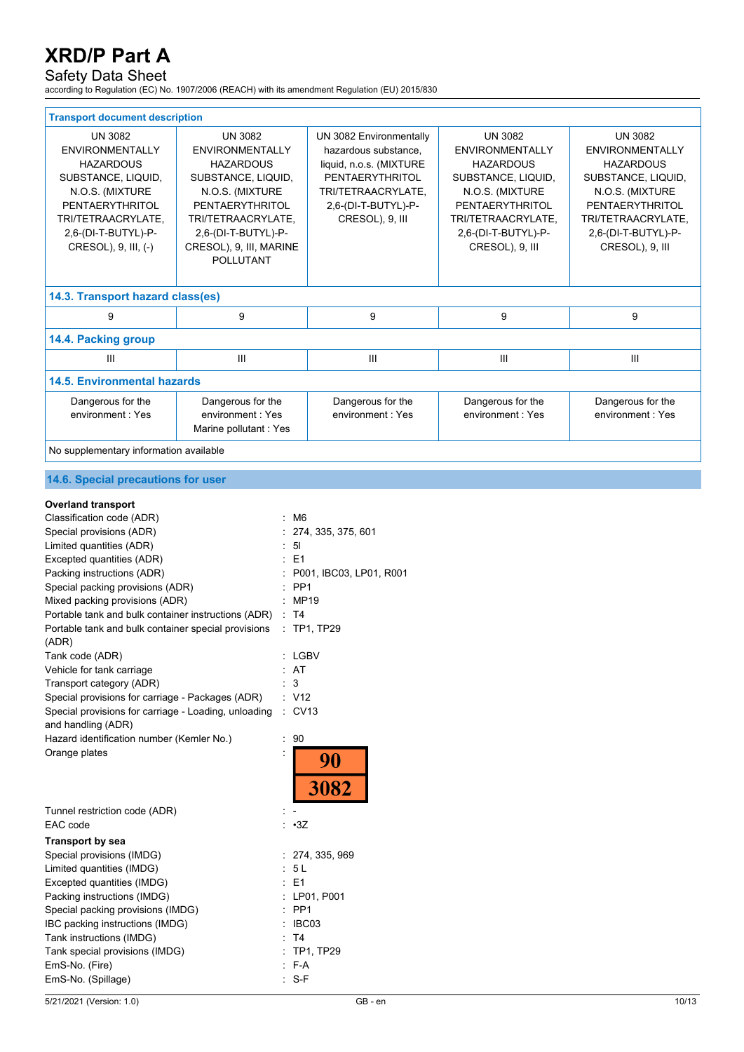## Safety Data Sheet

according to Regulation (EC) No. 1907/2006 (REACH) with its amendment Regulation (EU) 2015/830

| <b>Transport document description</b>                                                                                                                                                         |                                                                                                                                                                                                                      |                                                                                                                                                               |                                                                                                                                                                                          |                                                                                                                                                                                          |
|-----------------------------------------------------------------------------------------------------------------------------------------------------------------------------------------------|----------------------------------------------------------------------------------------------------------------------------------------------------------------------------------------------------------------------|---------------------------------------------------------------------------------------------------------------------------------------------------------------|------------------------------------------------------------------------------------------------------------------------------------------------------------------------------------------|------------------------------------------------------------------------------------------------------------------------------------------------------------------------------------------|
| <b>UN 3082</b><br><b>ENVIRONMENTALLY</b><br><b>HAZARDOUS</b><br>SUBSTANCE, LIQUID,<br>N.O.S. (MIXTURE<br>PENTAERYTHRITOL<br>TRI/TETRAACRYLATE,<br>2,6-(DI-T-BUTYL)-P-<br>CRESOL), 9, III, (-) | <b>UN 3082</b><br><b>ENVIRONMENTALLY</b><br><b>HAZARDOUS</b><br>SUBSTANCE, LIQUID,<br>N.O.S. (MIXTURE<br>PENTAERYTHRITOL<br>TRI/TETRAACRYLATE,<br>2,6-(DI-T-BUTYL)-P-<br>CRESOL), 9, III, MARINE<br><b>POLLUTANT</b> | UN 3082 Environmentally<br>hazardous substance,<br>liquid, n.o.s. (MIXTURE<br>PENTAERYTHRITOL<br>TRI/TETRAACRYLATE,<br>2,6-(DI-T-BUTYL)-P-<br>CRESOL), 9, III | <b>UN 3082</b><br><b>ENVIRONMENTALLY</b><br><b>HAZARDOUS</b><br>SUBSTANCE, LIQUID,<br>N.O.S. (MIXTURE<br>PENTAERYTHRITOL<br>TRI/TETRAACRYLATE,<br>2,6-(DI-T-BUTYL)-P-<br>CRESOL), 9, III | <b>UN 3082</b><br><b>ENVIRONMENTALLY</b><br><b>HAZARDOUS</b><br>SUBSTANCE, LIQUID,<br>N.O.S. (MIXTURE<br>PENTAERYTHRITOL<br>TRI/TETRAACRYLATE,<br>2,6-(DI-T-BUTYL)-P-<br>CRESOL), 9, III |
| 14.3. Transport hazard class(es)                                                                                                                                                              |                                                                                                                                                                                                                      |                                                                                                                                                               |                                                                                                                                                                                          |                                                                                                                                                                                          |
| 9                                                                                                                                                                                             | 9                                                                                                                                                                                                                    | 9                                                                                                                                                             | 9                                                                                                                                                                                        | 9                                                                                                                                                                                        |
| 14.4. Packing group                                                                                                                                                                           |                                                                                                                                                                                                                      |                                                                                                                                                               |                                                                                                                                                                                          |                                                                                                                                                                                          |
| $\mathbf{III}$                                                                                                                                                                                | Ш                                                                                                                                                                                                                    | $\mathbf{III}$                                                                                                                                                | III                                                                                                                                                                                      | III                                                                                                                                                                                      |
| <b>14.5. Environmental hazards</b>                                                                                                                                                            |                                                                                                                                                                                                                      |                                                                                                                                                               |                                                                                                                                                                                          |                                                                                                                                                                                          |
| Dangerous for the<br>environment: Yes                                                                                                                                                         | Dangerous for the<br>environment: Yes<br>Marine pollutant: Yes                                                                                                                                                       | Dangerous for the<br>environment: Yes                                                                                                                         | Dangerous for the<br>environment: Yes                                                                                                                                                    | Dangerous for the<br>environment: Yes                                                                                                                                                    |
| No supplementary information available                                                                                                                                                        |                                                                                                                                                                                                                      |                                                                                                                                                               |                                                                                                                                                                                          |                                                                                                                                                                                          |

### **14.6. Special precautions for user**

#### **Overland transport**

| Classification code (ADR)                            |   | M <sub>6</sub>          |
|------------------------------------------------------|---|-------------------------|
| Special provisions (ADR)                             |   | 274, 335, 375, 601      |
| Limited quantities (ADR)                             |   | 5 <sub>1</sub>          |
| Excepted quantities (ADR)                            |   | E1                      |
| Packing instructions (ADR)                           |   | P001, IBC03, LP01, R001 |
| Special packing provisions (ADR)                     |   | PP <sub>1</sub>         |
| Mixed packing provisions (ADR)                       |   | <b>MP19</b>             |
| Portable tank and bulk container instructions (ADR)  |   | T <sub>4</sub>          |
| Portable tank and bulk container special provisions  |   | <b>TP1, TP29</b>        |
| (ADR)                                                |   |                         |
| Tank code (ADR)                                      |   | <b>LGBV</b>             |
| Vehicle for tank carriage                            |   | AT                      |
| Transport category (ADR)                             |   | 3                       |
| Special provisions for carriage - Packages (ADR)     |   | : V12                   |
| Special provisions for carriage - Loading, unloading |   | <b>CV13</b>             |
| and handling (ADR)                                   |   |                         |
| Hazard identification number (Kemler No.)            | t | 90                      |
| Orange plates                                        |   | 90                      |
|                                                      |   | 3082                    |
| Tunnel restriction code (ADR)                        |   |                         |
| EAC code                                             |   | : 3Z                    |
| <b>Transport by sea</b>                              |   |                         |
| Special provisions (IMDG)                            |   | 274, 335, 969           |
| Limited quantities (IMDG)                            |   | 5L                      |
| Excepted quantities (IMDG)                           |   | E1                      |
| Packing instructions (IMDG)                          |   | LP01, P001              |
| Special packing provisions (IMDG)                    |   | PP1                     |
| IBC packing instructions (IMDG)                      |   | IBC03                   |
| Tank instructions (IMDG)                             |   | T <sub>4</sub>          |
| Tank special provisions (IMDG)                       |   | <b>TP1, TP29</b>        |
| EmS-No. (Fire)                                       |   | F-A                     |
| EmS-No. (Spillage)                                   |   | S-F                     |
|                                                      |   |                         |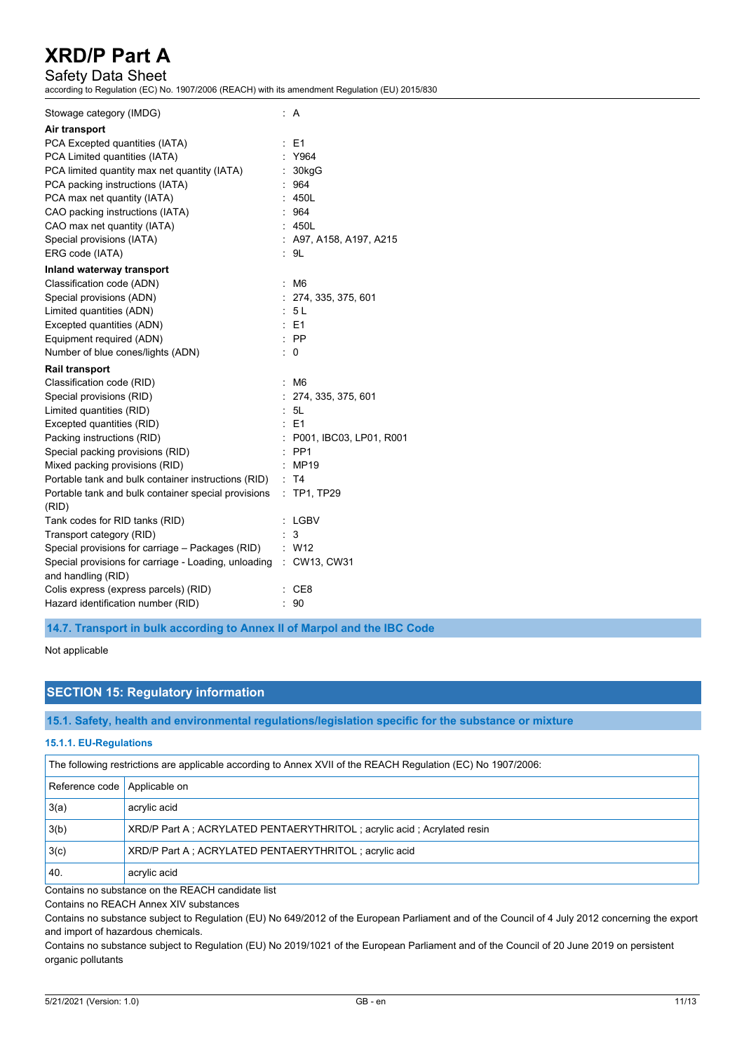## Safety Data Sheet

according to Regulation (EC) No. 1907/2006 (REACH) with its amendment Regulation (EU) 2015/830

| Stowage category (IMDG)                                           |    | : A                       |
|-------------------------------------------------------------------|----|---------------------------|
| Air transport                                                     |    |                           |
| PCA Excepted quantities (IATA)                                    |    | : E1                      |
| PCA Limited quantities (IATA)                                     |    | : Y964                    |
| PCA limited quantity max net quantity (IATA)                      |    | : 30kgG                   |
| PCA packing instructions (IATA)                                   |    | : 964                     |
| PCA max net quantity (IATA)                                       |    | : 450L                    |
| CAO packing instructions (IATA)                                   |    | : 964                     |
| CAO max net quantity (IATA)                                       |    | : 450L                    |
| Special provisions (IATA)                                         |    | $:$ A97, A158, A197, A215 |
| ERG code (IATA)                                                   |    | : 9L                      |
| Inland waterway transport                                         |    |                           |
| Classification code (ADN)                                         | t. | M <sub>6</sub>            |
| Special provisions (ADN)                                          |    | : 274, 335, 375, 601      |
| Limited quantities (ADN)                                          |    | : 5L                      |
| Excepted quantities (ADN)                                         |    | $·$ F1                    |
| Equipment required (ADN)                                          |    | $:$ PP                    |
| Number of blue cones/lights (ADN)                                 |    | $\therefore$ 0            |
| <b>Rail transport</b>                                             |    |                           |
| Classification code (RID)                                         | t. | M <sub>6</sub>            |
| Special provisions (RID)                                          |    | : 274, 335, 375, 601      |
| Limited quantities (RID)                                          |    | : 5L                      |
| Excepted quantities (RID)                                         |    | $E = 1$                   |
| Packing instructions (RID)                                        |    | : P001, IBC03, LP01, R001 |
| Special packing provisions (RID)                                  |    | $:$ PP1                   |
| Mixed packing provisions (RID)                                    | ÷  | MP19                      |
| Portable tank and bulk container instructions (RID)               |    | : T4                      |
| Portable tank and bulk container special provisions               | ÷. | <b>TP1, TP29</b>          |
| (RID)                                                             |    |                           |
| Tank codes for RID tanks (RID)                                    |    | : LGBV                    |
| Transport category (RID)                                          |    | 3                         |
| Special provisions for carriage - Packages (RID) : W12            |    |                           |
| Special provisions for carriage - Loading, unloading : CW13, CW31 |    |                           |
| and handling (RID)                                                |    |                           |
| Colis express (express parcels) (RID)                             |    | : CE8                     |
| Hazard identification number (RID)                                |    |                           |

**14.7. Transport in bulk according to Annex II of Marpol and the IBC Code**

Not applicable

# **SECTION 15: Regulatory information**

**15.1. Safety, health and environmental regulations/legislation specific for the substance or mixture**

#### **15.1.1. EU-Regulations**

| The following restrictions are applicable according to Annex XVII of the REACH Regulation (EC) No 1907/2006: |                                                                        |  |
|--------------------------------------------------------------------------------------------------------------|------------------------------------------------------------------------|--|
| Reference code   Applicable on                                                                               |                                                                        |  |
| 3(a)                                                                                                         | acrylic acid                                                           |  |
| 3(b)                                                                                                         | XRD/P Part A; ACRYLATED PENTAERYTHRITOL; acrylic acid; Acrylated resin |  |
| 3(c)                                                                                                         | XRD/P Part A; ACRYLATED PENTAERYTHRITOL; acrylic acid                  |  |
| 40.                                                                                                          | acrylic acid                                                           |  |

Contains no substance on the REACH candidate list

Contains no REACH Annex XIV substances

Contains no substance subject to Regulation (EU) No 649/2012 of the European Parliament and of the Council of 4 July 2012 concerning the export and import of hazardous chemicals.

Contains no substance subject to Regulation (EU) No 2019/1021 of the European Parliament and of the Council of 20 June 2019 on persistent organic pollutants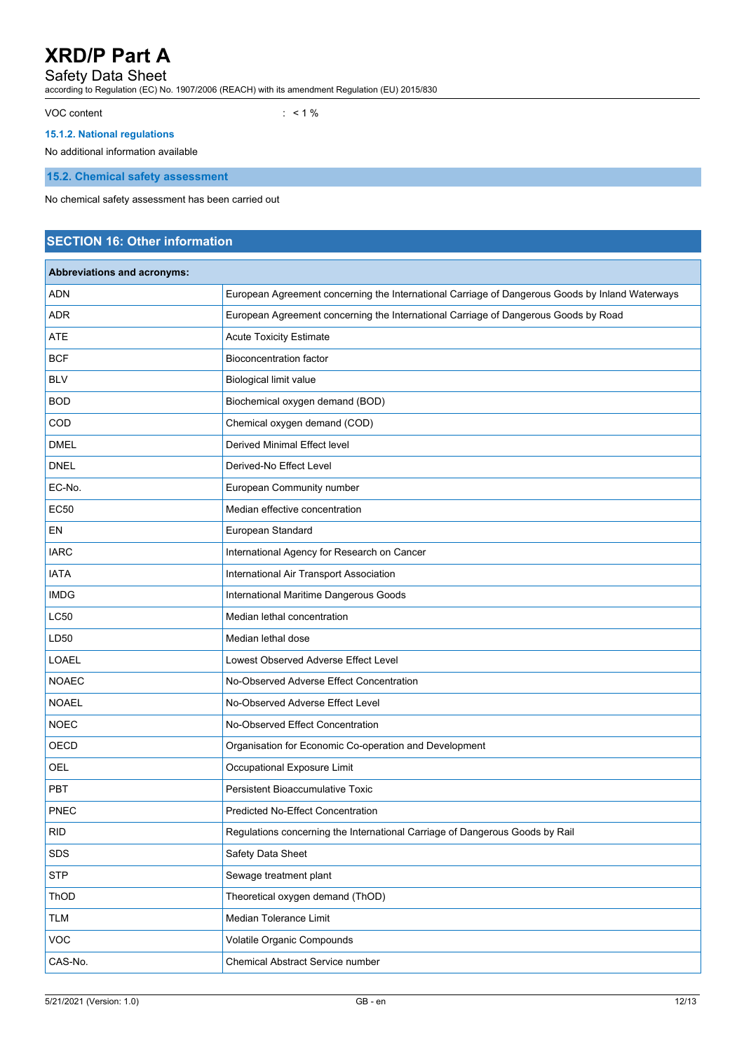### Safety Data Sheet

according to Regulation (EC) No. 1907/2006 (REACH) with its amendment Regulation (EU) 2015/830

VOC content : < 1 %

### **15.1.2. National regulations**

No additional information available

**15.2. Chemical safety assessment**

No chemical safety assessment has been carried out

# **SECTION 16: Other information**

| Abbreviations and acronyms: |                                                                                                 |
|-----------------------------|-------------------------------------------------------------------------------------------------|
| <b>ADN</b>                  | European Agreement concerning the International Carriage of Dangerous Goods by Inland Waterways |
| <b>ADR</b>                  | European Agreement concerning the International Carriage of Dangerous Goods by Road             |
| <b>ATE</b>                  | <b>Acute Toxicity Estimate</b>                                                                  |
| <b>BCF</b>                  | <b>Bioconcentration factor</b>                                                                  |
| <b>BLV</b>                  | Biological limit value                                                                          |
| <b>BOD</b>                  | Biochemical oxygen demand (BOD)                                                                 |
| COD                         | Chemical oxygen demand (COD)                                                                    |
| <b>DMEL</b>                 | Derived Minimal Effect level                                                                    |
| <b>DNEL</b>                 | Derived-No Effect Level                                                                         |
| EC-No.                      | European Community number                                                                       |
| <b>EC50</b>                 | Median effective concentration                                                                  |
| EN                          | European Standard                                                                               |
| <b>IARC</b>                 | International Agency for Research on Cancer                                                     |
| <b>IATA</b>                 | International Air Transport Association                                                         |
| <b>IMDG</b>                 | International Maritime Dangerous Goods                                                          |
| <b>LC50</b>                 | Median lethal concentration                                                                     |
| LD50                        | Median lethal dose                                                                              |
| <b>LOAEL</b>                | Lowest Observed Adverse Effect Level                                                            |
| <b>NOAEC</b>                | No-Observed Adverse Effect Concentration                                                        |
| <b>NOAEL</b>                | No-Observed Adverse Effect Level                                                                |
| <b>NOEC</b>                 | No-Observed Effect Concentration                                                                |
| OECD                        | Organisation for Economic Co-operation and Development                                          |
| <b>OEL</b>                  | Occupational Exposure Limit                                                                     |
| <b>PBT</b>                  | <b>Persistent Bioaccumulative Toxic</b>                                                         |
| <b>PNEC</b>                 | <b>Predicted No-Effect Concentration</b>                                                        |
| <b>RID</b>                  | Regulations concerning the International Carriage of Dangerous Goods by Rail                    |
| SDS                         | Safety Data Sheet                                                                               |
| <b>STP</b>                  | Sewage treatment plant                                                                          |
| ThOD                        | Theoretical oxygen demand (ThOD)                                                                |
| <b>TLM</b>                  | Median Tolerance Limit                                                                          |
| VOC                         | Volatile Organic Compounds                                                                      |
| CAS-No.                     | Chemical Abstract Service number                                                                |